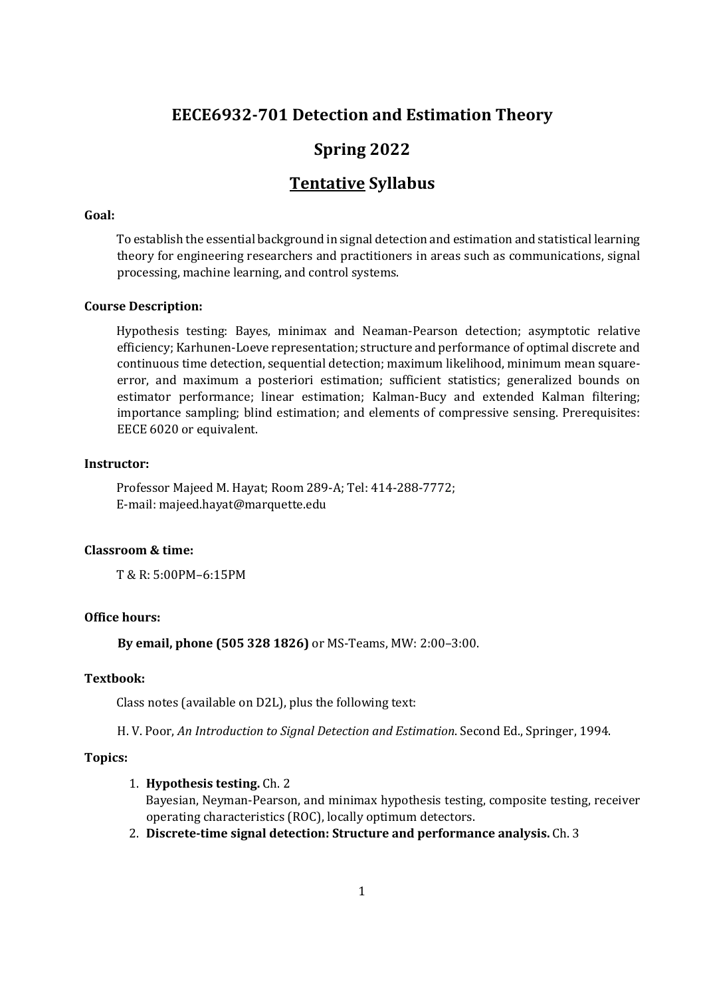# **EECE6932-701 Detection and Estimation Theory**

# **Spring 2022**

# **Tentative Syllabus**

## **Goal:**

To establish the essential background in signal detection and estimation and statistical learning theory for engineering researchers and practitioners in areas such as communications, signal processing, machine learning, and control systems.

## **Course Description:**

Hypothesis testing: Bayes, minimax and Neaman-Pearson detection; asymptotic relative efficiency; Karhunen-Loeve representation; structure and performance of optimal discrete and continuous time detection, sequential detection; maximum likelihood, minimum mean squareerror, and maximum a posteriori estimation; sufficient statistics; generalized bounds on estimator performance; linear estimation; Kalman-Bucy and extended Kalman filtering; importance sampling; blind estimation; and elements of compressive sensing. Prerequisites: EECE 6020 or equivalent.

## **Instructor:**

Professor Majeed M. Hayat; Room 289-A; Tel: 414-288-7772; E-mail: majeed.hayat@marquette.edu

## **Classroom & time:**

T & R: 5:00PM–6:15PM

# **Office hours:**

**By email, phone (505 328 1826)** or MS-Teams, MW: 2:00–3:00.

#### **Textbook:**

Class notes (available on D2L), plus the following text:

H. V. Poor, *An Introduction to Signal Detection and Estimation*. Second Ed., Springer, 1994.

# **Topics:**

#### 1. **Hypothesis testing.** Ch. 2

Bayesian, Neyman-Pearson, and minimax hypothesis testing, composite testing, receiver operating characteristics (ROC), locally optimum detectors.

2. **Discrete-time signal detection: Structure and performance analysis.** Ch. 3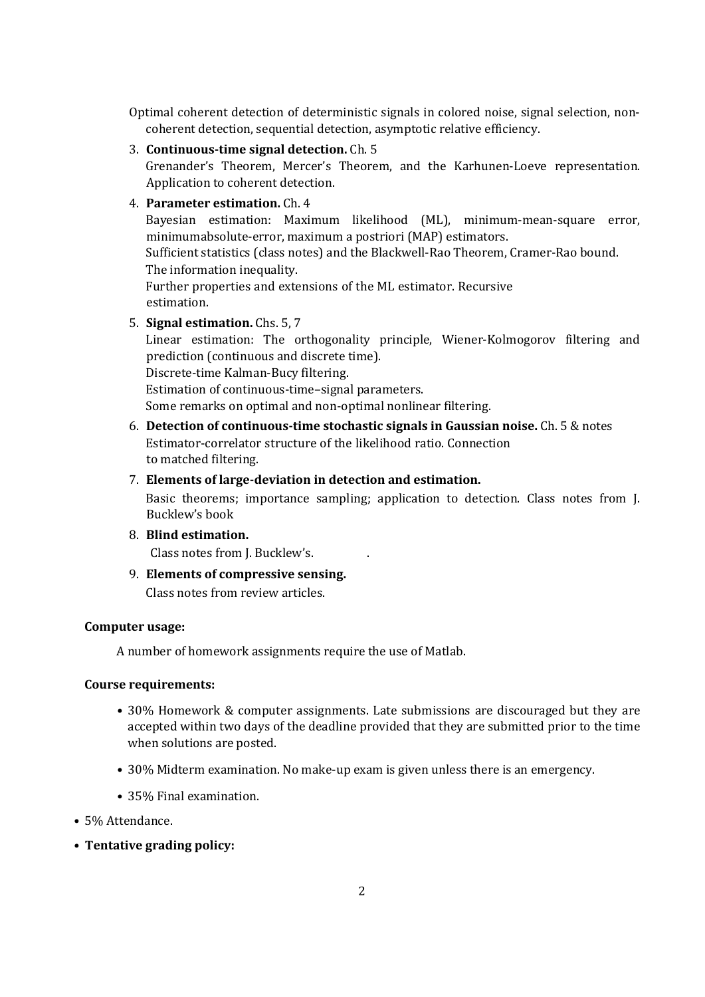Optimal coherent detection of deterministic signals in colored noise, signal selection, noncoherent detection, sequential detection, asymptotic relative efficiency.

3. **Continuous-time signal detection.** Ch. 5

Grenander's Theorem, Mercer's Theorem, and the Karhunen-Loeve representation. Application to coherent detection.

4. **Parameter estimation.** Ch. 4

Bayesian estimation: Maximum likelihood (ML), minimum-mean-square error, minimumabsolute-error, maximum a postriori (MAP) estimators. Sufficient statistics (class notes) and the Blackwell-Rao Theorem, Cramer-Rao bound.

The information inequality.

Further properties and extensions of the ML estimator. Recursive estimation.

5. **Signal estimation.** Chs. 5, 7

Linear estimation: The orthogonality principle, Wiener-Kolmogorov filtering and prediction (continuous and discrete time).

Discrete-time Kalman-Bucy filtering.

Estimation of continuous-time–signal parameters.

Some remarks on optimal and non-optimal nonlinear filtering.

- 6. **Detection of continuous-time stochastic signals in Gaussian noise.** Ch. 5 & notes Estimator-correlator structure of the likelihood ratio. Connection to matched filtering.
- 7. **Elements of large-deviation in detection and estimation.**

Basic theorems; importance sampling; application to detection. Class notes from J. Bucklew's book

8. **Blind estimation.**

Class notes from J. Bucklew's. .

9. **Elements of compressive sensing.** Class notes from review articles.

# **Computer usage:**

A number of homework assignments require the use of Matlab.

## **Course requirements:**

- 30% Homework & computer assignments. Late submissions are discouraged but they are accepted within two days of the deadline provided that they are submitted prior to the time when solutions are posted.
- 30% Midterm examination. No make-up exam is given unless there is an emergency.
- 35% Final examination.
- 5% Attendance.
- **Tentative grading policy:**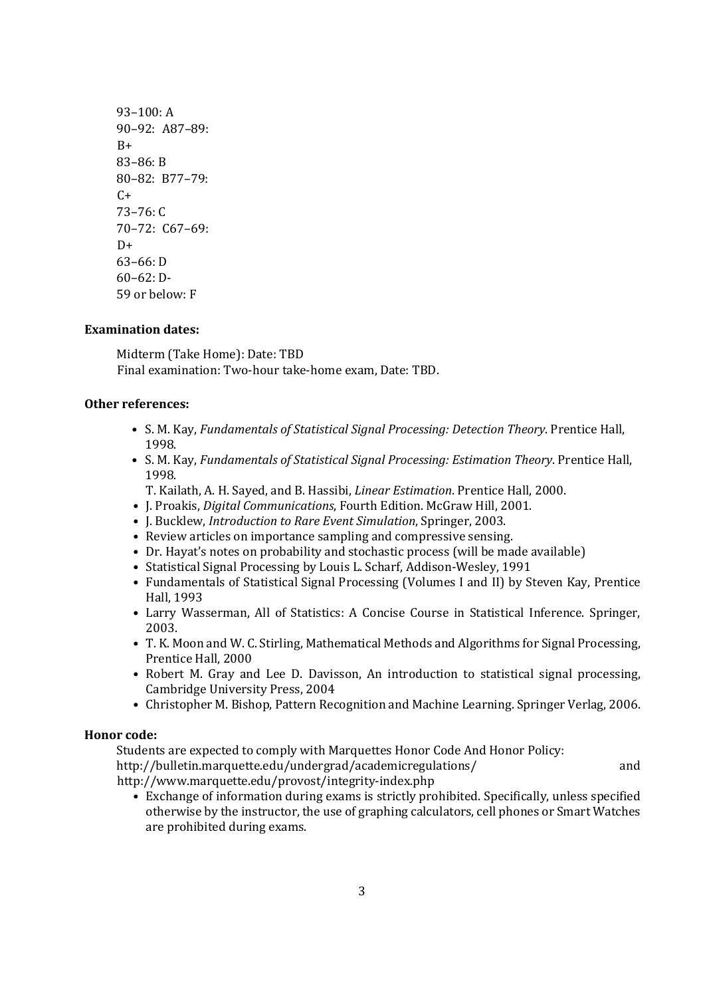93–100: A 90–92: A87–89:  $B+$ 83–86: B 80–82: B77–79:  $C+$ 73–76: C 70–72: C67–69:  $D+$ 63–66: D 60–62: D-59 or below: F

## **Examination dates:**

Midterm (Take Home): Date: TBD Final examination: Two-hour take-home exam, Date: TBD.

# **Other references:**

- S. M. Kay, *Fundamentals of Statistical Signal Processing: Detection Theory*. Prentice Hall, 1998.
- S. M. Kay, *Fundamentals of Statistical Signal Processing: Estimation Theory*. Prentice Hall, 1998.
	- T. Kailath, A. H. Sayed, and B. Hassibi, *Linear Estimation*. Prentice Hall, 2000.
- J. Proakis, *Digital Communications*, Fourth Edition. McGraw Hill, 2001.
- J. Bucklew, *Introduction to Rare Event Simulation*, Springer, 2003.
- Review articles on importance sampling and compressive sensing.
- Dr. Hayat's notes on probability and stochastic process (will be made available)
- Statistical Signal Processing by Louis L. Scharf, Addison-Wesley, 1991
- Fundamentals of Statistical Signal Processing (Volumes I and II) by Steven Kay, Prentice Hall, 1993
- Larry Wasserman, All of Statistics: A Concise Course in Statistical Inference. Springer, 2003.
- T. K. Moon and W. C. Stirling, Mathematical Methods and Algorithms for Signal Processing, Prentice Hall, 2000
- Robert M. Gray and Lee D. Davisson, An introduction to statistical signal processing, Cambridge University Press, 2004
- Christopher M. Bishop, Pattern Recognition and Machine Learning. Springer Verlag, 2006.

## **Honor code:**

Students are expected to comply with Marquettes Honor Code And Honor Policy:

http://bulletin.marquette.edu/undergrad/academicregulations/ and http://www.marquette.edu/provost/integrity-index.php

• Exchange of information during exams is strictly prohibited. Specifically, unless specified otherwise by the instructor, the use of graphing calculators, cell phones or Smart Watches are prohibited during exams.